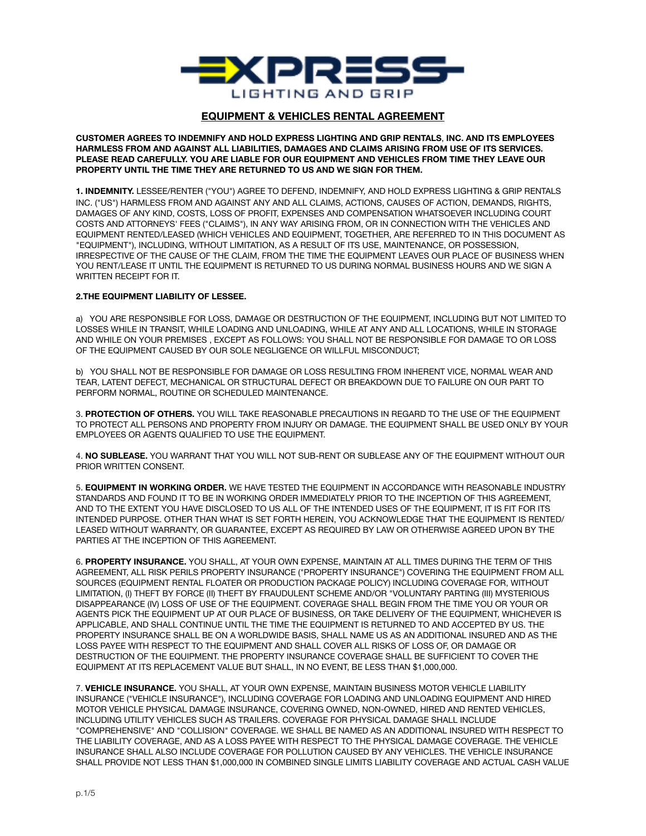

## **EQUIPMENT & VEHICLES RENTAL AGREEMENT**

**CUSTOMER AGREES TO INDEMNIFY AND HOLD EXPRESS LIGHTING AND GRIP RENTALS**, **INC. AND ITS EMPLOYEES HARMLESS FROM AND AGAINST ALL LIABILITIES, DAMAGES AND CLAIMS ARISING FROM USE OF ITS SERVICES. PLEASE READ CAREFULLY. YOU ARE LIABLE FOR OUR EQUIPMENT AND VEHICLES FROM TIME THEY LEAVE OUR PROPERTY UNTIL THE TIME THEY ARE RETURNED TO US AND WE SIGN FOR THEM.**

**1. INDEMNITY.** LESSEE/RENTER ("YOU") AGREE TO DEFEND, INDEMNIFY, AND HOLD EXPRESS LIGHTING & GRIP RENTALS INC. ("US") HARMLESS FROM AND AGAINST ANY AND ALL CLAIMS, ACTIONS, CAUSES OF ACTION, DEMANDS, RIGHTS, DAMAGES OF ANY KIND, COSTS, LOSS OF PROFIT, EXPENSES AND COMPENSATION WHATSOEVER INCLUDING COURT COSTS AND ATTORNEYS' FEES ("CLAIMS"), IN ANY WAY ARISING FROM, OR IN CONNECTION WITH THE VEHICLES AND EQUIPMENT RENTED/LEASED (WHICH VEHICLES AND EQUIPMENT, TOGETHER, ARE REFERRED TO IN THIS DOCUMENT AS "EQUIPMENT"), INCLUDING, WITHOUT LIMITATION, AS A RESULT OF ITS USE, MAINTENANCE, OR POSSESSION, IRRESPECTIVE OF THE CAUSE OF THE CLAIM, FROM THE TIME THE EQUIPMENT LEAVES OUR PLACE OF BUSINESS WHEN YOU RENT/LEASE IT UNTIL THE EQUIPMENT IS RETURNED TO US DURING NORMAL BUSINESS HOURS AND WE SIGN A WRITTEN RECEIPT FOR IT.

## **2.THE EQUIPMENT LIABILITY OF LESSEE.**

a) YOU ARE RESPONSIBLE FOR LOSS, DAMAGE OR DESTRUCTION OF THE EQUIPMENT, INCLUDING BUT NOT LIMITED TO LOSSES WHILE IN TRANSIT, WHILE LOADING AND UNLOADING, WHILE AT ANY AND ALL LOCATIONS, WHILE IN STORAGE AND WHILE ON YOUR PREMISES , EXCEPT AS FOLLOWS: YOU SHALL NOT BE RESPONSIBLE FOR DAMAGE TO OR LOSS OF THE EQUIPMENT CAUSED BY OUR SOLE NEGLIGENCE OR WILLFUL MISCONDUCT;

b) YOU SHALL NOT BE RESPONSIBLE FOR DAMAGE OR LOSS RESULTING FROM INHERENT VICE, NORMAL WEAR AND TEAR, LATENT DEFECT, MECHANICAL OR STRUCTURAL DEFECT OR BREAKDOWN DUE TO FAILURE ON OUR PART TO PERFORM NORMAL, ROUTINE OR SCHEDULED MAINTENANCE.

3. **PROTECTION OF OTHERS.** YOU WILL TAKE REASONABLE PRECAUTIONS IN REGARD TO THE USE OF THE EQUIPMENT TO PROTECT ALL PERSONS AND PROPERTY FROM INJURY OR DAMAGE. THE EQUIPMENT SHALL BE USED ONLY BY YOUR EMPLOYEES OR AGENTS QUALIFIED TO USE THE EQUIPMENT.

4. **NO SUBLEASE.** YOU WARRANT THAT YOU WILL NOT SUB-RENT OR SUBLEASE ANY OF THE EQUIPMENT WITHOUT OUR PRIOR WRITTEN CONSENT.

5. **EQUIPMENT IN WORKING ORDER.** WE HAVE TESTED THE EQUIPMENT IN ACCORDANCE WITH REASONABLE INDUSTRY STANDARDS AND FOUND IT TO BE IN WORKING ORDER IMMEDIATELY PRIOR TO THE INCEPTION OF THIS AGREEMENT, AND TO THE EXTENT YOU HAVE DISCLOSED TO US ALL OF THE INTENDED USES OF THE EQUIPMENT, IT IS FIT FOR ITS INTENDED PURPOSE. OTHER THAN WHAT IS SET FORTH HEREIN, YOU ACKNOWLEDGE THAT THE EQUIPMENT IS RENTED/ LEASED WITHOUT WARRANTY, OR GUARANTEE, EXCEPT AS REQUIRED BY LAW OR OTHERWISE AGREED UPON BY THE PARTIES AT THE INCEPTION OF THIS AGREEMENT.

6. **PROPERTY INSURANCE.** YOU SHALL, AT YOUR OWN EXPENSE, MAINTAIN AT ALL TIMES DURING THE TERM OF THIS AGREEMENT, ALL RISK PERILS PROPERTY INSURANCE ("PROPERTY INSURANCE") COVERING THE EQUIPMENT FROM ALL SOURCES (EQUIPMENT RENTAL FLOATER OR PRODUCTION PACKAGE POLICY) INCLUDING COVERAGE FOR, WITHOUT LIMITATION, (I) THEFT BY FORCE (II) THEFT BY FRAUDULENT SCHEME AND/OR "VOLUNTARY PARTING (III) MYSTERIOUS DISAPPEARANCE (IV) LOSS OF USE OF THE EQUIPMENT. COVERAGE SHALL BEGIN FROM THE TIME YOU OR YOUR OR AGENTS PICK THE EQUIPMENT UP AT OUR PLACE OF BUSINESS, OR TAKE DELIVERY OF THE EQUIPMENT, WHICHEVER IS APPLICABLE, AND SHALL CONTINUE UNTIL THE TIME THE EQUIPMENT IS RETURNED TO AND ACCEPTED BY US. THE PROPERTY INSURANCE SHALL BE ON A WORLDWIDE BASIS, SHALL NAME US AS AN ADDITIONAL INSURED AND AS THE LOSS PAYEE WITH RESPECT TO THE EQUIPMENT AND SHALL COVER ALL RISKS OF LOSS OF, OR DAMAGE OR DESTRUCTION OF THE EQUIPMENT. THE PROPERTY INSURANCE COVERAGE SHALL BE SUFFICIENT TO COVER THE EQUIPMENT AT ITS REPLACEMENT VALUE BUT SHALL, IN NO EVENT, BE LESS THAN \$1,000,000.

7. **VEHICLE INSURANCE.** YOU SHALL, AT YOUR OWN EXPENSE, MAINTAIN BUSINESS MOTOR VEHICLE LIABILITY INSURANCE ("VEHICLE INSURANCE"), INCLUDING COVERAGE FOR LOADING AND UNLOADING EQUIPMENT AND HIRED MOTOR VEHICLE PHYSICAL DAMAGE INSURANCE, COVERING OWNED, NON-OWNED, HIRED AND RENTED VEHICLES, INCLUDING UTILITY VEHICLES SUCH AS TRAILERS. COVERAGE FOR PHYSICAL DAMAGE SHALL INCLUDE "COMPREHENSIVE" AND "COLLISION" COVERAGE. WE SHALL BE NAMED AS AN ADDITIONAL INSURED WITH RESPECT TO THE LIABILITY COVERAGE, AND AS A LOSS PAYEE WITH RESPECT TO THE PHYSICAL DAMAGE COVERAGE. THE VEHICLE INSURANCE SHALL ALSO INCLUDE COVERAGE FOR POLLUTION CAUSED BY ANY VEHICLES. THE VEHICLE INSURANCE SHALL PROVIDE NOT LESS THAN \$1,000,000 IN COMBINED SINGLE LIMITS LIABILITY COVERAGE AND ACTUAL CASH VALUE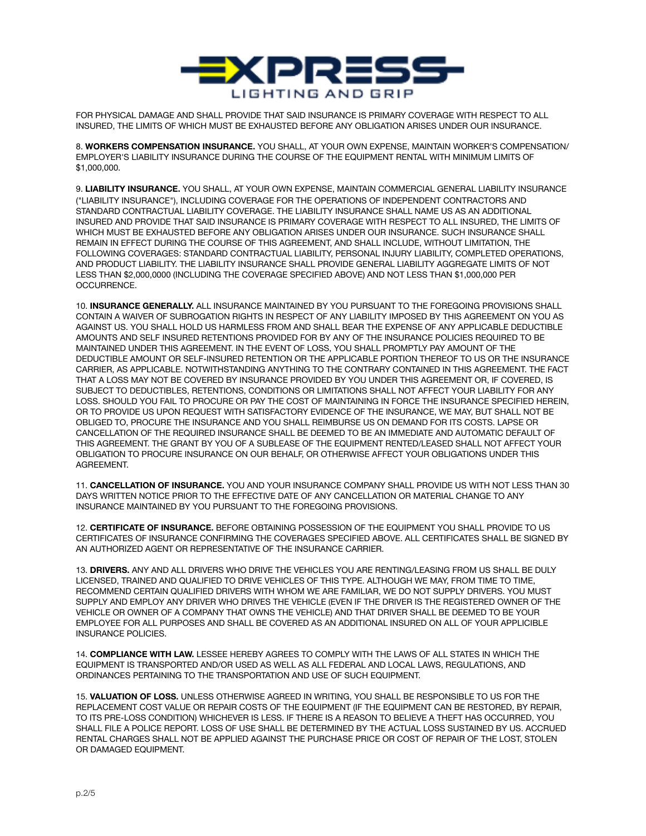

FOR PHYSICAL DAMAGE AND SHALL PROVIDE THAT SAID INSURANCE IS PRIMARY COVERAGE WITH RESPECT TO ALL INSURED, THE LIMITS OF WHICH MUST BE EXHAUSTED BEFORE ANY OBLIGATION ARISES UNDER OUR INSURANCE.

8. **WORKERS COMPENSATION INSURANCE.** YOU SHALL, AT YOUR OWN EXPENSE, MAINTAIN WORKER'S COMPENSATION/ EMPLOYER'S LIABILITY INSURANCE DURING THE COURSE OF THE EQUIPMENT RENTAL WITH MINIMUM LIMITS OF \$1,000,000.

9. **LIABILITY INSURANCE.** YOU SHALL, AT YOUR OWN EXPENSE, MAINTAIN COMMERCIAL GENERAL LIABILITY INSURANCE ("LIABILITY INSURANCE"), INCLUDING COVERAGE FOR THE OPERATIONS OF INDEPENDENT CONTRACTORS AND STANDARD CONTRACTUAL LIABILITY COVERAGE. THE LIABILITY INSURANCE SHALL NAME US AS AN ADDITIONAL INSURED AND PROVIDE THAT SAID INSURANCE IS PRIMARY COVERAGE WITH RESPECT TO ALL INSURED, THE LIMITS OF WHICH MUST BE EXHAUSTED BEFORE ANY OBLIGATION ARISES UNDER OUR INSURANCE. SUCH INSURANCE SHALL REMAIN IN EFFECT DURING THE COURSE OF THIS AGREEMENT, AND SHALL INCLUDE, WITHOUT LIMITATION, THE FOLLOWING COVERAGES: STANDARD CONTRACTUAL LIABILITY, PERSONAL INJURY LIABILITY, COMPLETED OPERATIONS, AND PRODUCT LIABILITY. THE LIABILITY INSURANCE SHALL PROVIDE GENERAL LIABILITY AGGREGATE LIMITS OF NOT LESS THAN \$2,000,0000 (INCLUDING THE COVERAGE SPECIFIED ABOVE) AND NOT LESS THAN \$1,000,000 PER OCCURRENCE.

10. **INSURANCE GENERALLY.** ALL INSURANCE MAINTAINED BY YOU PURSUANT TO THE FOREGOING PROVISIONS SHALL CONTAIN A WAIVER OF SUBROGATION RIGHTS IN RESPECT OF ANY LIABILITY IMPOSED BY THIS AGREEMENT ON YOU AS AGAINST US. YOU SHALL HOLD US HARMLESS FROM AND SHALL BEAR THE EXPENSE OF ANY APPLICABLE DEDUCTIBLE AMOUNTS AND SELF INSURED RETENTIONS PROVIDED FOR BY ANY OF THE INSURANCE POLICIES REQUIRED TO BE MAINTAINED UNDER THIS AGREEMENT. IN THE EVENT OF LOSS, YOU SHALL PROMPTLY PAY AMOUNT OF THE DEDUCTIBLE AMOUNT OR SELF-INSURED RETENTION OR THE APPLICABLE PORTION THEREOF TO US OR THE INSURANCE CARRIER, AS APPLICABLE. NOTWITHSTANDING ANYTHING TO THE CONTRARY CONTAINED IN THIS AGREEMENT. THE FACT THAT A LOSS MAY NOT BE COVERED BY INSURANCE PROVIDED BY YOU UNDER THIS AGREEMENT OR, IF COVERED, IS SUBJECT TO DEDUCTIBLES, RETENTIONS, CONDITIONS OR LIMITATIONS SHALL NOT AFFECT YOUR LIABILITY FOR ANY LOSS. SHOULD YOU FAIL TO PROCURE OR PAY THE COST OF MAINTAINING IN FORCE THE INSURANCE SPECIFIED HEREIN, OR TO PROVIDE US UPON REQUEST WITH SATISFACTORY EVIDENCE OF THE INSURANCE, WE MAY, BUT SHALL NOT BE OBLIGED TO, PROCURE THE INSURANCE AND YOU SHALL REIMBURSE US ON DEMAND FOR ITS COSTS. LAPSE OR CANCELLATION OF THE REQUIRED INSURANCE SHALL BE DEEMED TO BE AN IMMEDIATE AND AUTOMATIC DEFAULT OF THIS AGREEMENT. THE GRANT BY YOU OF A SUBLEASE OF THE EQUIPMENT RENTED/LEASED SHALL NOT AFFECT YOUR OBLIGATION TO PROCURE INSURANCE ON OUR BEHALF, OR OTHERWISE AFFECT YOUR OBLIGATIONS UNDER THIS AGREEMENT.

11. **CANCELLATION OF INSURANCE.** YOU AND YOUR INSURANCE COMPANY SHALL PROVIDE US WITH NOT LESS THAN 30 DAYS WRITTEN NOTICE PRIOR TO THE EFFECTIVE DATE OF ANY CANCELLATION OR MATERIAL CHANGE TO ANY INSURANCE MAINTAINED BY YOU PURSUANT TO THE FOREGOING PROVISIONS.

12. **CERTIFICATE OF INSURANCE.** BEFORE OBTAINING POSSESSION OF THE EQUIPMENT YOU SHALL PROVIDE TO US CERTIFICATES OF INSURANCE CONFIRMING THE COVERAGES SPECIFIED ABOVE. ALL CERTIFICATES SHALL BE SIGNED BY AN AUTHORIZED AGENT OR REPRESENTATIVE OF THE INSURANCE CARRIER.

13. **DRIVERS.** ANY AND ALL DRIVERS WHO DRIVE THE VEHICLES YOU ARE RENTING/LEASING FROM US SHALL BE DULY LICENSED, TRAINED AND QUALIFIED TO DRIVE VEHICLES OF THIS TYPE. ALTHOUGH WE MAY, FROM TIME TO TIME, RECOMMEND CERTAIN QUALIFIED DRIVERS WITH WHOM WE ARE FAMILIAR, WE DO NOT SUPPLY DRIVERS. YOU MUST SUPPLY AND EMPLOY ANY DRIVER WHO DRIVES THE VEHICLE (EVEN IF THE DRIVER IS THE REGISTERED OWNER OF THE VEHICLE OR OWNER OF A COMPANY THAT OWNS THE VEHICLE) AND THAT DRIVER SHALL BE DEEMED TO BE YOUR EMPLOYEE FOR ALL PURPOSES AND SHALL BE COVERED AS AN ADDITIONAL INSURED ON ALL OF YOUR APPLICIBLE INSURANCE POLICIES.

14. **COMPLIANCE WITH LAW.** LESSEE HEREBY AGREES TO COMPLY WITH THE LAWS OF ALL STATES IN WHICH THE EQUIPMENT IS TRANSPORTED AND/OR USED AS WELL AS ALL FEDERAL AND LOCAL LAWS, REGULATIONS, AND ORDINANCES PERTAINING TO THE TRANSPORTATION AND USE OF SUCH EQUIPMENT.

15. **VALUATION OF LOSS.** UNLESS OTHERWISE AGREED IN WRITING, YOU SHALL BE RESPONSIBLE TO US FOR THE REPLACEMENT COST VALUE OR REPAIR COSTS OF THE EQUIPMENT (IF THE EQUIPMENT CAN BE RESTORED, BY REPAIR, TO ITS PRE-LOSS CONDITION) WHICHEVER IS LESS. IF THERE IS A REASON TO BELIEVE A THEFT HAS OCCURRED, YOU SHALL FILE A POLICE REPORT. LOSS OF USE SHALL BE DETERMINED BY THE ACTUAL LOSS SUSTAINED BY US. ACCRUED RENTAL CHARGES SHALL NOT BE APPLIED AGAINST THE PURCHASE PRICE OR COST OF REPAIR OF THE LOST, STOLEN OR DAMAGED EQUIPMENT.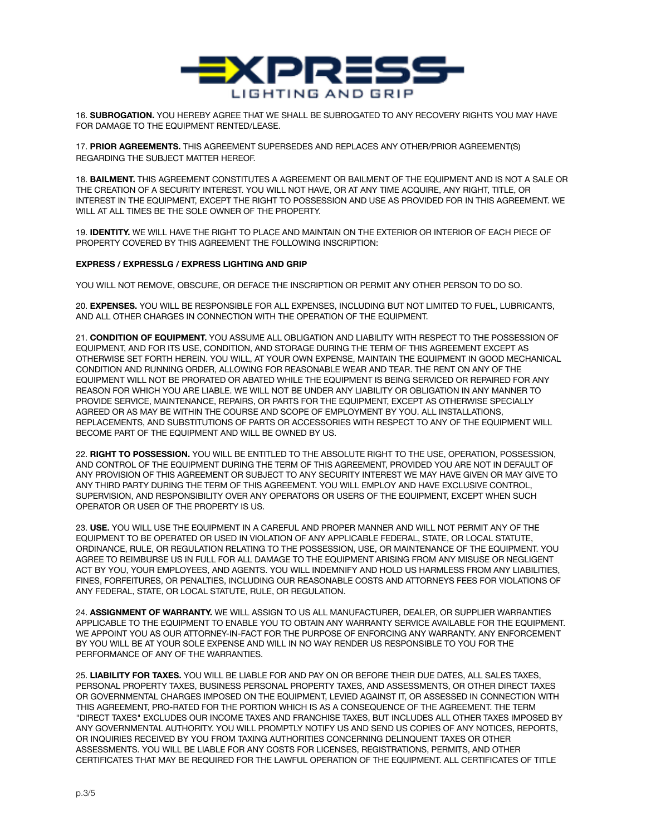

16. **SUBROGATION.** YOU HEREBY AGREE THAT WE SHALL BE SUBROGATED TO ANY RECOVERY RIGHTS YOU MAY HAVE FOR DAMAGE TO THE EQUIPMENT RENTED/LEASE.

17. **PRIOR AGREEMENTS.** THIS AGREEMENT SUPERSEDES AND REPLACES ANY OTHER/PRIOR AGREEMENT(S) REGARDING THE SUBJECT MATTER HEREOF.

18. **BAILMENT.** THIS AGREEMENT CONSTITUTES A AGREEMENT OR BAILMENT OF THE EQUIPMENT AND IS NOT A SALE OR THE CREATION OF A SECURITY INTEREST. YOU WILL NOT HAVE, OR AT ANY TIME ACQUIRE, ANY RIGHT, TITLE, OR INTEREST IN THE EQUIPMENT, EXCEPT THE RIGHT TO POSSESSION AND USE AS PROVIDED FOR IN THIS AGREEMENT. WE WILL AT ALL TIMES BE THE SOLE OWNER OF THE PROPERTY.

19. **IDENTITY.** WE WILL HAVE THE RIGHT TO PLACE AND MAINTAIN ON THE EXTERIOR OR INTERIOR OF EACH PIECE OF PROPERTY COVERED BY THIS AGREEMENT THE FOLLOWING INSCRIPTION:

## **EXPRESS / EXPRESSLG / EXPRESS LIGHTING AND GRIP**

YOU WILL NOT REMOVE, OBSCURE, OR DEFACE THE INSCRIPTION OR PERMIT ANY OTHER PERSON TO DO SO.

20. **EXPENSES.** YOU WILL BE RESPONSIBLE FOR ALL EXPENSES, INCLUDING BUT NOT LIMITED TO FUEL, LUBRICANTS, AND ALL OTHER CHARGES IN CONNECTION WITH THE OPERATION OF THE EQUIPMENT.

21. **CONDITION OF EQUIPMENT.** YOU ASSUME ALL OBLIGATION AND LIABILITY WITH RESPECT TO THE POSSESSION OF EQUIPMENT, AND FOR ITS USE, CONDITION, AND STORAGE DURING THE TERM OF THIS AGREEMENT EXCEPT AS OTHERWISE SET FORTH HEREIN. YOU WILL, AT YOUR OWN EXPENSE, MAINTAIN THE EQUIPMENT IN GOOD MECHANICAL CONDITION AND RUNNING ORDER, ALLOWING FOR REASONABLE WEAR AND TEAR. THE RENT ON ANY OF THE EQUIPMENT WILL NOT BE PRORATED OR ABATED WHILE THE EQUIPMENT IS BEING SERVICED OR REPAIRED FOR ANY REASON FOR WHICH YOU ARE LIABLE. WE WILL NOT BE UNDER ANY LIABILITY OR OBLIGATION IN ANY MANNER TO PROVIDE SERVICE, MAINTENANCE, REPAIRS, OR PARTS FOR THE EQUIPMENT, EXCEPT AS OTHERWISE SPECIALLY AGREED OR AS MAY BE WITHIN THE COURSE AND SCOPE OF EMPLOYMENT BY YOU. ALL INSTALLATIONS, REPLACEMENTS, AND SUBSTITUTIONS OF PARTS OR ACCESSORIES WITH RESPECT TO ANY OF THE EQUIPMENT WILL BECOME PART OF THE EQUIPMENT AND WILL BE OWNED BY US.

22. **RIGHT TO POSSESSION.** YOU WILL BE ENTITLED TO THE ABSOLUTE RIGHT TO THE USE, OPERATION, POSSESSION, AND CONTROL OF THE EQUIPMENT DURING THE TERM OF THIS AGREEMENT, PROVIDED YOU ARE NOT IN DEFAULT OF ANY PROVISION OF THIS AGREEMENT OR SUBJECT TO ANY SECURITY INTEREST WE MAY HAVE GIVEN OR MAY GIVE TO ANY THIRD PARTY DURING THE TERM OF THIS AGREEMENT. YOU WILL EMPLOY AND HAVE EXCLUSIVE CONTROL, SUPERVISION, AND RESPONSIBILITY OVER ANY OPERATORS OR USERS OF THE EQUIPMENT, EXCEPT WHEN SUCH OPERATOR OR USER OF THE PROPERTY IS US.

23. **USE.** YOU WILL USE THE EQUIPMENT IN A CAREFUL AND PROPER MANNER AND WILL NOT PERMIT ANY OF THE EQUIPMENT TO BE OPERATED OR USED IN VIOLATION OF ANY APPLICABLE FEDERAL, STATE, OR LOCAL STATUTE, ORDINANCE, RULE, OR REGULATION RELATING TO THE POSSESSION, USE, OR MAINTENANCE OF THE EQUIPMENT. YOU AGREE TO REIMBURSE US IN FULL FOR ALL DAMAGE TO THE EQUIPMENT ARISING FROM ANY MISUSE OR NEGLIGENT ACT BY YOU, YOUR EMPLOYEES, AND AGENTS. YOU WILL INDEMNIFY AND HOLD US HARMLESS FROM ANY LIABILITIES, FINES, FORFEITURES, OR PENALTIES, INCLUDING OUR REASONABLE COSTS AND ATTORNEYS FEES FOR VIOLATIONS OF ANY FEDERAL, STATE, OR LOCAL STATUTE, RULE, OR REGULATION.

24. **ASSIGNMENT OF WARRANTY.** WE WILL ASSIGN TO US ALL MANUFACTURER, DEALER, OR SUPPLIER WARRANTIES APPLICABLE TO THE EQUIPMENT TO ENABLE YOU TO OBTAIN ANY WARRANTY SERVICE AVAILABLE FOR THE EQUIPMENT. WE APPOINT YOU AS OUR ATTORNEY-IN-FACT FOR THE PURPOSE OF ENFORCING ANY WARRANTY. ANY ENFORCEMENT BY YOU WILL BE AT YOUR SOLE EXPENSE AND WILL IN NO WAY RENDER US RESPONSIBLE TO YOU FOR THE PERFORMANCE OF ANY OF THE WARRANTIES.

25. **LIABILITY FOR TAXES.** YOU WILL BE LIABLE FOR AND PAY ON OR BEFORE THEIR DUE DATES, ALL SALES TAXES, PERSONAL PROPERTY TAXES, BUSINESS PERSONAL PROPERTY TAXES, AND ASSESSMENTS, OR OTHER DIRECT TAXES OR GOVERNMENTAL CHARGES IMPOSED ON THE EQUIPMENT, LEVIED AGAINST IT, OR ASSESSED IN CONNECTION WITH THIS AGREEMENT, PRO-RATED FOR THE PORTION WHICH IS AS A CONSEQUENCE OF THE AGREEMENT. THE TERM "DIRECT TAXES" EXCLUDES OUR INCOME TAXES AND FRANCHISE TAXES, BUT INCLUDES ALL OTHER TAXES IMPOSED BY ANY GOVERNMENTAL AUTHORITY. YOU WILL PROMPTLY NOTIFY US AND SEND US COPIES OF ANY NOTICES, REPORTS, OR INQUIRIES RECEIVED BY YOU FROM TAXING AUTHORITIES CONCERNING DELINQUENT TAXES OR OTHER ASSESSMENTS. YOU WILL BE LIABLE FOR ANY COSTS FOR LICENSES, REGISTRATIONS, PERMITS, AND OTHER CERTIFICATES THAT MAY BE REQUIRED FOR THE LAWFUL OPERATION OF THE EQUIPMENT. ALL CERTIFICATES OF TITLE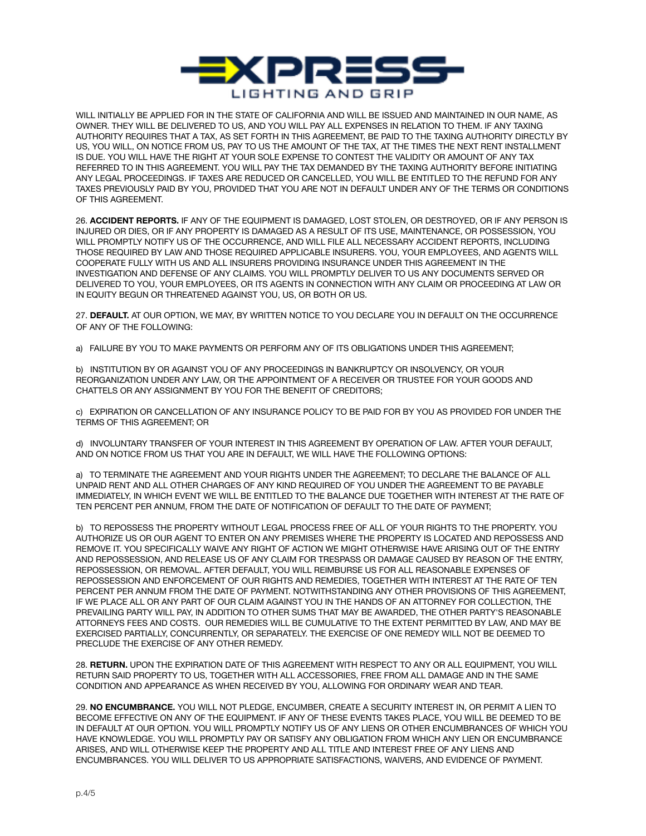

WILL INITIALLY BE APPLIED FOR IN THE STATE OF CALIFORNIA AND WILL BE ISSUED AND MAINTAINED IN OUR NAME, AS OWNER. THEY WILL BE DELIVERED TO US, AND YOU WILL PAY ALL EXPENSES IN RELATION TO THEM. IF ANY TAXING AUTHORITY REQUIRES THAT A TAX, AS SET FORTH IN THIS AGREEMENT, BE PAID TO THE TAXING AUTHORITY DIRECTLY BY US, YOU WILL, ON NOTICE FROM US, PAY TO US THE AMOUNT OF THE TAX, AT THE TIMES THE NEXT RENT INSTALLMENT IS DUE. YOU WILL HAVE THE RIGHT AT YOUR SOLE EXPENSE TO CONTEST THE VALIDITY OR AMOUNT OF ANY TAX REFERRED TO IN THIS AGREEMENT. YOU WILL PAY THE TAX DEMANDED BY THE TAXING AUTHORITY BEFORE INITIATING ANY LEGAL PROCEEDINGS. IF TAXES ARE REDUCED OR CANCELLED, YOU WILL BE ENTITLED TO THE REFUND FOR ANY TAXES PREVIOUSLY PAID BY YOU, PROVIDED THAT YOU ARE NOT IN DEFAULT UNDER ANY OF THE TERMS OR CONDITIONS OF THIS AGREEMENT.

26. **ACCIDENT REPORTS.** IF ANY OF THE EQUIPMENT IS DAMAGED, LOST STOLEN, OR DESTROYED, OR IF ANY PERSON IS INJURED OR DIES, OR IF ANY PROPERTY IS DAMAGED AS A RESULT OF ITS USE, MAINTENANCE, OR POSSESSION, YOU WILL PROMPTLY NOTIFY US OF THE OCCURRENCE, AND WILL FILE ALL NECESSARY ACCIDENT REPORTS, INCLUDING THOSE REQUIRED BY LAW AND THOSE REQUIRED APPLICABLE INSURERS. YOU, YOUR EMPLOYEES, AND AGENTS WILL COOPERATE FULLY WITH US AND ALL INSURERS PROVIDING INSURANCE UNDER THIS AGREEMENT IN THE INVESTIGATION AND DEFENSE OF ANY CLAIMS. YOU WILL PROMPTLY DELIVER TO US ANY DOCUMENTS SERVED OR DELIVERED TO YOU, YOUR EMPLOYEES, OR ITS AGENTS IN CONNECTION WITH ANY CLAIM OR PROCEEDING AT LAW OR IN EQUITY BEGUN OR THREATENED AGAINST YOU, US, OR BOTH OR US.

27. **DEFAULT.** AT OUR OPTION, WE MAY, BY WRITTEN NOTICE TO YOU DECLARE YOU IN DEFAULT ON THE OCCURRENCE OF ANY OF THE FOLLOWING:

a) FAILURE BY YOU TO MAKE PAYMENTS OR PERFORM ANY OF ITS OBLIGATIONS UNDER THIS AGREEMENT;

b) INSTITUTION BY OR AGAINST YOU OF ANY PROCEEDINGS IN BANKRUPTCY OR INSOLVENCY, OR YOUR REORGANIZATION UNDER ANY LAW, OR THE APPOINTMENT OF A RECEIVER OR TRUSTEE FOR YOUR GOODS AND CHATTELS OR ANY ASSIGNMENT BY YOU FOR THE BENEFIT OF CREDITORS;

c) EXPIRATION OR CANCELLATION OF ANY INSURANCE POLICY TO BE PAID FOR BY YOU AS PROVIDED FOR UNDER THE TERMS OF THIS AGREEMENT; OR

d) INVOLUNTARY TRANSFER OF YOUR INTEREST IN THIS AGREEMENT BY OPERATION OF LAW. AFTER YOUR DEFAULT, AND ON NOTICE FROM US THAT YOU ARE IN DEFAULT, WE WILL HAVE THE FOLLOWING OPTIONS:

a) TO TERMINATE THE AGREEMENT AND YOUR RIGHTS UNDER THE AGREEMENT; TO DECLARE THE BALANCE OF ALL UNPAID RENT AND ALL OTHER CHARGES OF ANY KIND REQUIRED OF YOU UNDER THE AGREEMENT TO BE PAYABLE IMMEDIATELY, IN WHICH EVENT WE WILL BE ENTITLED TO THE BALANCE DUE TOGETHER WITH INTEREST AT THE RATE OF TEN PERCENT PER ANNUM, FROM THE DATE OF NOTIFICATION OF DEFAULT TO THE DATE OF PAYMENT;

b) TO REPOSSESS THE PROPERTY WITHOUT LEGAL PROCESS FREE OF ALL OF YOUR RIGHTS TO THE PROPERTY. YOU AUTHORIZE US OR OUR AGENT TO ENTER ON ANY PREMISES WHERE THE PROPERTY IS LOCATED AND REPOSSESS AND REMOVE IT. YOU SPECIFICALLY WAIVE ANY RIGHT OF ACTION WE MIGHT OTHERWISE HAVE ARISING OUT OF THE ENTRY AND REPOSSESSION, AND RELEASE US OF ANY CLAIM FOR TRESPASS OR DAMAGE CAUSED BY REASON OF THE ENTRY, REPOSSESSION, OR REMOVAL. AFTER DEFAULT, YOU WILL REIMBURSE US FOR ALL REASONABLE EXPENSES OF REPOSSESSION AND ENFORCEMENT OF OUR RIGHTS AND REMEDIES, TOGETHER WITH INTEREST AT THE RATE OF TEN PERCENT PER ANNUM FROM THE DATE OF PAYMENT. NOTWITHSTANDING ANY OTHER PROVISIONS OF THIS AGREEMENT, IF WE PLACE ALL OR ANY PART OF OUR CLAIM AGAINST YOU IN THE HANDS OF AN ATTORNEY FOR COLLECTION, THE PREVAILING PARTY WILL PAY, IN ADDITION TO OTHER SUMS THAT MAY BE AWARDED, THE OTHER PARTY'S REASONABLE ATTORNEYS FEES AND COSTS. OUR REMEDIES WILL BE CUMULATIVE TO THE EXTENT PERMITTED BY LAW, AND MAY BE EXERCISED PARTIALLY, CONCURRENTLY, OR SEPARATELY. THE EXERCISE OF ONE REMEDY WILL NOT BE DEEMED TO PRECLUDE THE EXERCISE OF ANY OTHER REMEDY.

28. **RETURN.** UPON THE EXPIRATION DATE OF THIS AGREEMENT WITH RESPECT TO ANY OR ALL EQUIPMENT, YOU WILL RETURN SAID PROPERTY TO US, TOGETHER WITH ALL ACCESSORIES, FREE FROM ALL DAMAGE AND IN THE SAME CONDITION AND APPEARANCE AS WHEN RECEIVED BY YOU, ALLOWING FOR ORDINARY WEAR AND TEAR.

29. **NO ENCUMBRANCE.** YOU WILL NOT PLEDGE, ENCUMBER, CREATE A SECURITY INTEREST IN, OR PERMIT A LIEN TO BECOME EFFECTIVE ON ANY OF THE EQUIPMENT. IF ANY OF THESE EVENTS TAKES PLACE, YOU WILL BE DEEMED TO BE IN DEFAULT AT OUR OPTION. YOU WILL PROMPTLY NOTIFY US OF ANY LIENS OR OTHER ENCUMBRANCES OF WHICH YOU HAVE KNOWLEDGE. YOU WILL PROMPTLY PAY OR SATISFY ANY OBLIGATION FROM WHICH ANY LIEN OR ENCUMBRANCE ARISES, AND WILL OTHERWISE KEEP THE PROPERTY AND ALL TITLE AND INTEREST FREE OF ANY LIENS AND ENCUMBRANCES. YOU WILL DELIVER TO US APPROPRIATE SATISFACTIONS, WAIVERS, AND EVIDENCE OF PAYMENT.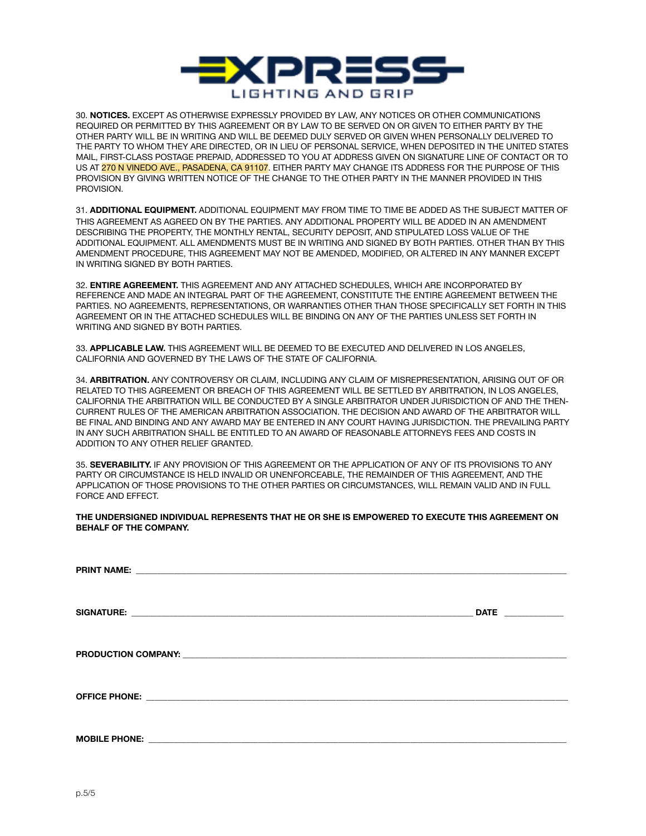

30. **NOTICES.** EXCEPT AS OTHERWISE EXPRESSLY PROVIDED BY LAW, ANY NOTICES OR OTHER COMMUNICATIONS REQUIRED OR PERMITTED BY THIS AGREEMENT OR BY LAW TO BE SERVED ON OR GIVEN TO EITHER PARTY BY THE OTHER PARTY WILL BE IN WRITING AND WILL BE DEEMED DULY SERVED OR GIVEN WHEN PERSONALLY DELIVERED TO THE PARTY TO WHOM THEY ARE DIRECTED, OR IN LIEU OF PERSONAL SERVICE, WHEN DEPOSITED IN THE UNITED STATES MAIL, FIRST-CLASS POSTAGE PREPAID, ADDRESSED TO YOU AT ADDRESS GIVEN ON SIGNATURE LINE OF CONTACT OR TO US AT 270 N VINEDO AVE., PASADENA, CA 91107. EITHER PARTY MAY CHANGE ITS ADDRESS FOR THE PURPOSE OF THIS PROVISION BY GIVING WRITTEN NOTICE OF THE CHANGE TO THE OTHER PARTY IN THE MANNER PROVIDED IN THIS PROVISION.

31. **ADDITIONAL EQUIPMENT.** ADDITIONAL EQUIPMENT MAY FROM TIME TO TIME BE ADDED AS THE SUBJECT MATTER OF THIS AGREEMENT AS AGREED ON BY THE PARTIES. ANY ADDITIONAL PROPERTY WILL BE ADDED IN AN AMENDMENT DESCRIBING THE PROPERTY, THE MONTHLY RENTAL, SECURITY DEPOSIT, AND STIPULATED LOSS VALUE OF THE ADDITIONAL EQUIPMENT. ALL AMENDMENTS MUST BE IN WRITING AND SIGNED BY BOTH PARTIES. OTHER THAN BY THIS AMENDMENT PROCEDURE, THIS AGREEMENT MAY NOT BE AMENDED, MODIFIED, OR ALTERED IN ANY MANNER EXCEPT IN WRITING SIGNED BY BOTH PARTIES.

32. **ENTIRE AGREEMENT.** THIS AGREEMENT AND ANY ATTACHED SCHEDULES, WHICH ARE INCORPORATED BY REFERENCE AND MADE AN INTEGRAL PART OF THE AGREEMENT, CONSTITUTE THE ENTIRE AGREEMENT BETWEEN THE PARTIES. NO AGREEMENTS, REPRESENTATIONS, OR WARRANTIES OTHER THAN THOSE SPECIFICALLY SET FORTH IN THIS AGREEMENT OR IN THE ATTACHED SCHEDULES WILL BE BINDING ON ANY OF THE PARTIES UNLESS SET FORTH IN WRITING AND SIGNED BY BOTH PARTIES.

33. **APPLICABLE LAW.** THIS AGREEMENT WILL BE DEEMED TO BE EXECUTED AND DELIVERED IN LOS ANGELES, CALIFORNIA AND GOVERNED BY THE LAWS OF THE STATE OF CALIFORNIA.

34. **ARBITRATION.** ANY CONTROVERSY OR CLAIM, INCLUDING ANY CLAIM OF MISREPRESENTATION, ARISING OUT OF OR RELATED TO THIS AGREEMENT OR BREACH OF THIS AGREEMENT WILL BE SETTLED BY ARBITRATION, IN LOS ANGELES, CALIFORNIA THE ARBITRATION WILL BE CONDUCTED BY A SINGLE ARBITRATOR UNDER JURISDICTION OF AND THE THEN-CURRENT RULES OF THE AMERICAN ARBITRATION ASSOCIATION. THE DECISION AND AWARD OF THE ARBITRATOR WILL BE FINAL AND BINDING AND ANY AWARD MAY BE ENTERED IN ANY COURT HAVING JURISDICTION. THE PREVAILING PARTY IN ANY SUCH ARBITRATION SHALL BE ENTITLED TO AN AWARD OF REASONABLE ATTORNEYS FEES AND COSTS IN ADDITION TO ANY OTHER RELIEF GRANTED.

35. **SEVERABILITY.** IF ANY PROVISION OF THIS AGREEMENT OR THE APPLICATION OF ANY OF ITS PROVISIONS TO ANY PARTY OR CIRCUMSTANCE IS HELD INVALID OR UNENFORCEABLE, THE REMAINDER OF THIS AGREEMENT, AND THE APPLICATION OF THOSE PROVISIONS TO THE OTHER PARTIES OR CIRCUMSTANCES, WILL REMAIN VALID AND IN FULL FORCE AND EFFECT.

**THE UNDERSIGNED INDIVIDUAL REPRESENTS THAT HE OR SHE IS EMPOWERED TO EXECUTE THIS AGREEMENT ON BEHALF OF THE COMPANY.**

| DATE _____________ |
|--------------------|
|                    |
|                    |
|                    |